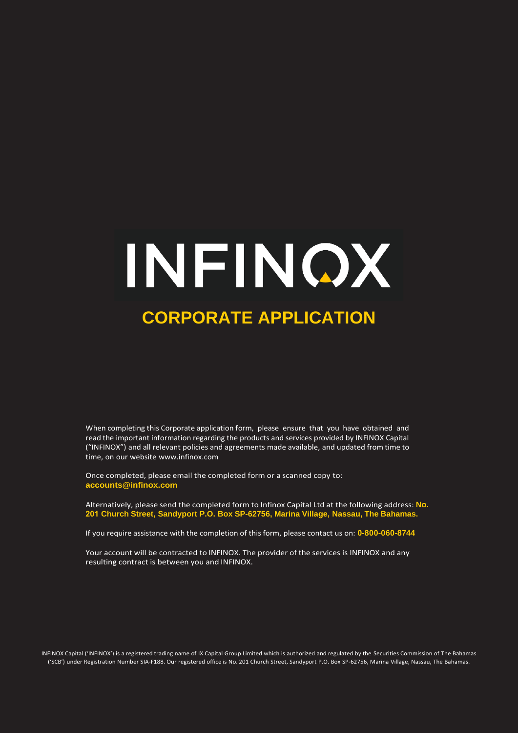# INFINQX **CORPORATE APPLICATION**

When completing this Corporate application form, please ensure that you have obtained and read the important information regarding the products and services provided by INFINOX Capital ("INFINOX") and all relevant policies and agreements made available, and updated from time to time, on our websit[e www.infinox.](http://www.infinox.bs/)com

Once completed, please email the completed form or a scanned copy t[o:](mailto:accounts@infinox.bs)  **accounts@infinox.com**

Alternatively, please send the completed form to Infinox Capital Ltd at the following address: **No. 201 Church Street, Sandyport P.O. Box SP-62756, Marina Village, Nassau, The Bahamas.** 

If you require assistance with the completion of this form, please contact us on: **0-800-060-8744** 

Your account will be contracted to INFINOX. The provider of the services is INFINOX and any resulting contract is between you and INFINOX.

INFINOX Capital ('INFINOX') is a registered trading name of IX Capital Group Limited which is authorized and regulated by the Securities Commission of The Bahamas ('SCB') under Registration Number SIA-F188. Our registered office is No. 201 Church Street, Sandyport P.O. Box SP-62756, Marina Village, Nassau, The Bahamas.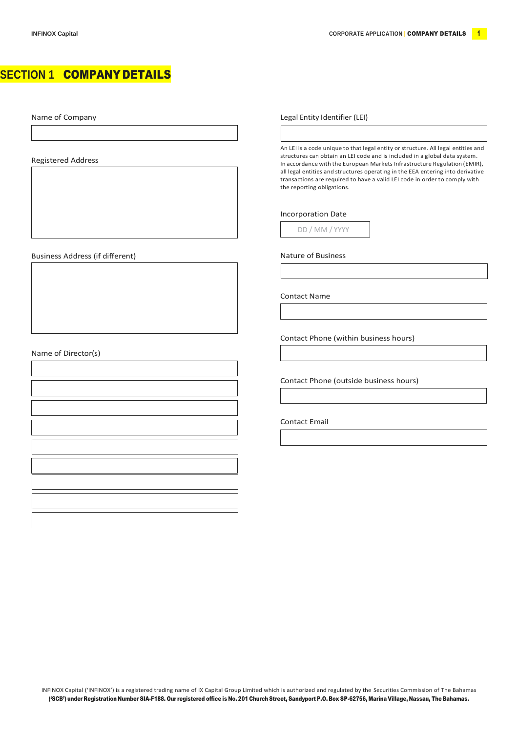## **SECTION 1** COMPANY DETAILS

Name of Company

Registered Address

Business Address (if different) Nature of Business Address (if different)

Name of Director(s)

Legal Entity Identifier (LEI)

An LEI is a code unique to that legal entity or structure. All legal entities and structures can obtain an LEI code and is included in a global data system. In accordance with the European Markets Infrastructure Regulation (EMIR), all legal entities and structures operating in the EEA entering into derivative transactions are required to have a valid LEI code in order to comply with the reporting obligations.

## Incorporation Date

DD / MM / YYYY

Contact Name

Contact Phone (within business hours)

Contact Phone (outside business hours)

Contact Email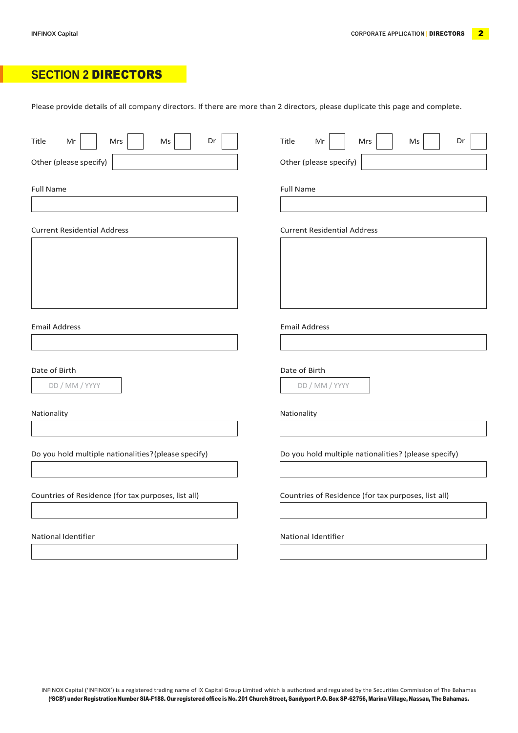## **SECTION 2** DIRECTORS

Please provide details of all company directors. If there are more than 2 directors, please duplicate this page and complete.

| Dr<br>Title<br>Mrs<br>Ms<br>Mr                       | Title<br>Dr<br>Mr<br>Mrs<br>Ms                       |
|------------------------------------------------------|------------------------------------------------------|
| Other (please specify)                               | Other (please specify)                               |
| <b>Full Name</b>                                     | <b>Full Name</b>                                     |
| <b>Current Residential Address</b>                   | <b>Current Residential Address</b>                   |
|                                                      |                                                      |
| <b>Email Address</b>                                 | <b>Email Address</b>                                 |
|                                                      |                                                      |
| Date of Birth<br>DD / MM / YYYY                      | Date of Birth<br>DD / MM / YYYY                      |
| Nationality                                          | Nationality                                          |
|                                                      |                                                      |
| Do you hold multiple nationalities? (please specify) | Do you hold multiple nationalities? (please specify) |
| Countries of Residence (for tax purposes, list all)  | Countries of Residence (for tax purposes, list all)  |
| National Identifier                                  | National Identifier                                  |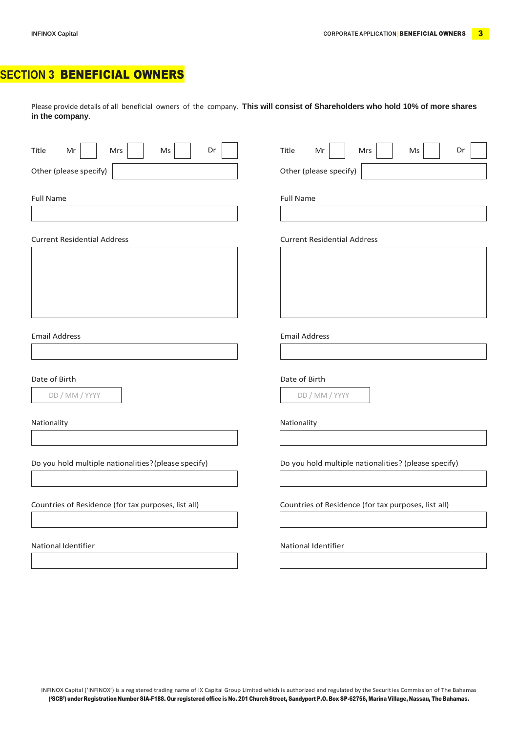# **SECTION 3** BENEFICIAL OWNERS

Please provide details of all beneficial owners of the company. **This will consist of Shareholders who hold 10% of more shares in the company**.

| Dr<br>Title<br>Ms<br>Mr<br>Mrs                       | Title<br>Mr<br>Ms<br>Dr<br>Mrs                       |
|------------------------------------------------------|------------------------------------------------------|
| Other (please specify)                               | Other (please specify)                               |
| <b>Full Name</b>                                     | <b>Full Name</b>                                     |
| <b>Current Residential Address</b>                   | <b>Current Residential Address</b>                   |
|                                                      |                                                      |
|                                                      |                                                      |
| <b>Email Address</b>                                 | <b>Email Address</b>                                 |
| Date of Birth                                        | Date of Birth                                        |
| DD / MM / YYYY                                       | DD / MM / YYYY                                       |
| Nationality                                          | Nationality                                          |
| Do you hold multiple nationalities? (please specify) | Do you hold multiple nationalities? (please specify) |
| Countries of Residence (for tax purposes, list all)  | Countries of Residence (for tax purposes, list all)  |
| National Identifier                                  | National Identifier                                  |
|                                                      |                                                      |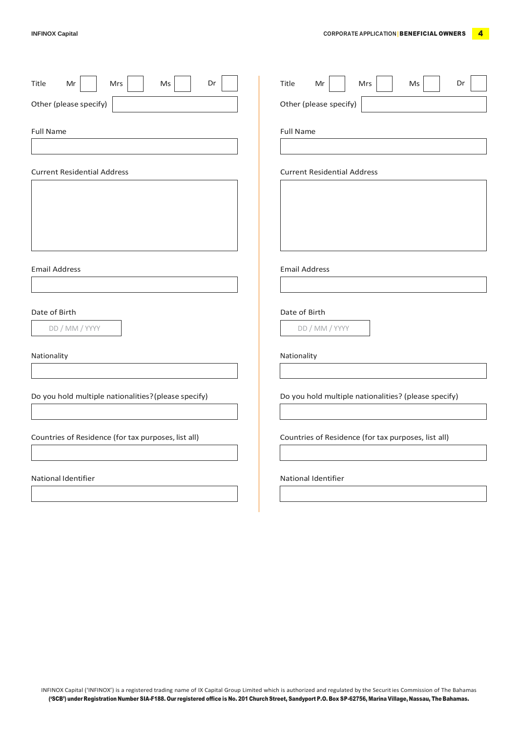| Dr<br>Mrs<br>$\mathsf{Ms}$<br>Title<br>Mr            | Title<br>Dr<br>Mr<br>Mrs<br>Ms                       |
|------------------------------------------------------|------------------------------------------------------|
| Other (please specify)                               | Other (please specify)                               |
| <b>Full Name</b>                                     | <b>Full Name</b>                                     |
| <b>Current Residential Address</b>                   | <b>Current Residential Address</b>                   |
|                                                      |                                                      |
|                                                      |                                                      |
| <b>Email Address</b>                                 | <b>Email Address</b>                                 |
| Date of Birth<br>DD / MM / YYYY                      | Date of Birth<br>DD / MM / YYYY                      |
| Nationality                                          | Nationality                                          |
| Do you hold multiple nationalities? (please specify) | Do you hold multiple nationalities? (please specify) |
| Countries of Residence (for tax purposes, list all)  | Countries of Residence (for tax purposes, list all)  |
| National Identifier                                  | National Identifier                                  |
|                                                      |                                                      |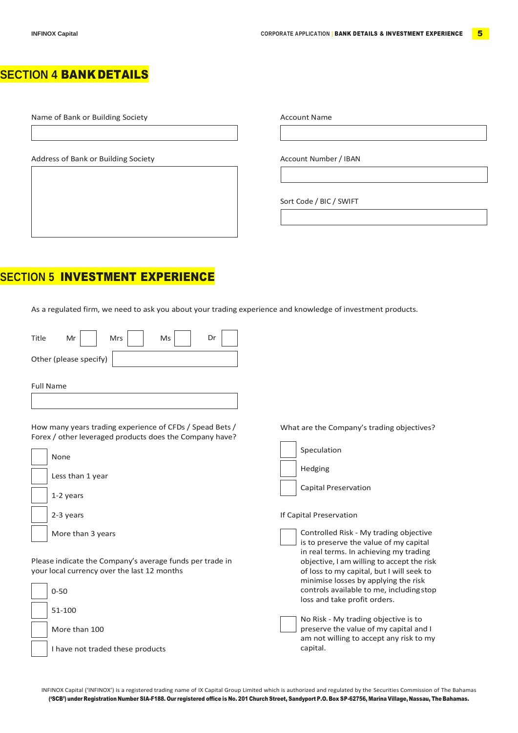# **SECTION 4** BANK DETAILS

Name of Bank or Building Society **Account Name** Account Name

Address of Bank or Building Society Account Number / IBAN

Sort Code / BIC / SWIFT

What are the Company's trading objectives?

Controlled Risk - My trading objective is to preserve the value of my capital in real terms. In achieving my trading objective, I amwilling to accept the risk of loss to my capital, but I will seek to

Speculation

Capital Preservation

Hedging

If Capital Preservation

# **SECTION 5** INVESTMENT EXPERIENCE

As a regulated firm, we need to ask you about your trading experience and knowledge of investment products.

| Title                  | Mr | Mrs | Ms | Dr |
|------------------------|----|-----|----|----|
| Other (please specify) |    |     |    |    |

Full Name

How many years trading experience of CFDs / Spead Bets / Forex / other leveraged products does the Company have?



Please indicate the Company's average funds per trade in your local currency over the last 12 months

| $0 - 50$                         | minimise losses by applying the risk<br>controls available to me, including stop<br>loss and take profit orders.          |
|----------------------------------|---------------------------------------------------------------------------------------------------------------------------|
| 51-100                           |                                                                                                                           |
| More than 100                    | No Risk - My trading objective is to<br>preserve the value of my capital and I<br>am not willing to accept any risk to my |
| I have not traded these products | capital.                                                                                                                  |

INFINOX Capital ('INFINOX') is a registered trading name of IX Capital Group Limited which is authorized and regulated by the Securities Commission of The Bahamas ('SCB') under Registration Number SIA-F188. Our registered office is No. 201 Church Street, Sandyport P.O. Box SP-62756, Marina Village, Nassau, The Bahamas.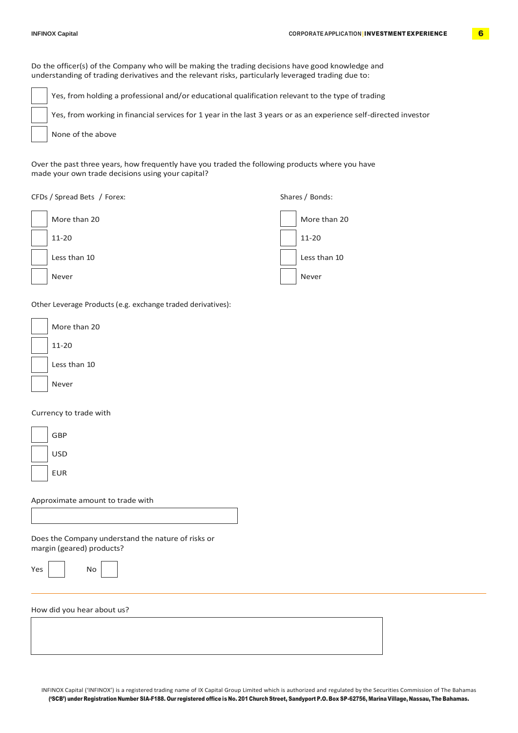Do the officer(s) of the Company who will be making the trading decisions have good knowledge and understanding of trading derivatives and the relevant risks, particularly leveraged trading due to:

Yes, from holding a professional and/or educational qualification relevant to the type of trading Yes, from working in financial services for 1 year in the last 3 years or as an experience self-directed investor None of the above

Over the past three years, how frequently have you traded the following products where you have made your own trade decisions using your capital?

## CFDs / Spread Bets / Forex: Shares / Bonds:



Other Leverage Products (e.g. exchange traded derivatives):

| More than 20 |
|--------------|
| $11 - 20$    |
| Less than 10 |
| Never        |

## Currency to trade with

| GBP |
|-----|
| USD |
| FUR |

Approximate amount to trade with

No

Does the Company understand the nature of risks or margin (geared) products?

| ×<br>×<br>۰.<br>. . |  |
|---------------------|--|

How did you hear about us?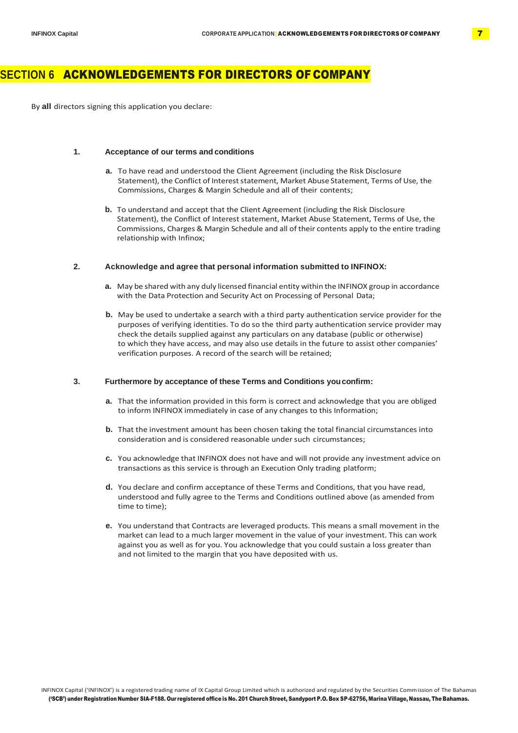## **SECTION 6** ACKNOWLEDGEMENTS FOR DIRECTORS OF COMPANY

By **all** directors signing this application you declare:

## **1. Acceptance of our terms and conditions**

- **a.** To have read and understood the Client Agreement (including the Risk Disclosure Statement), the Conflict of Interest statement, Market Abuse Statement, Terms of Use, the Commissions, Charges & Margin Schedule and all of their contents;
- **b.** To understand and accept that the Client Agreement (including the Risk Disclosure Statement), the Conflict of Interest statement, Market Abuse Statement, Terms of Use, the Commissions, Charges & Margin Schedule and all of their contents apply to the entire trading relationship with Infinox;

## **2. Acknowledge and agree that personal information submitted to INFINOX:**

- **a.** May be shared with any duly licensed financial entity within the INFINOX group in accordance with the Data Protection and Security Act on Processing of Personal Data;
- **b.** May be used to undertake a search with a third party authentication service provider for the purposes of verifying identities. To do so the third party authentication service provider may check the details supplied against any particulars on any database (public or otherwise) to which they have access, and may also use details in the future to assist other companies' verification purposes. A record of the search will be retained;

## **3. Furthermore by acceptance of these Terms and Conditions youconfirm:**

- **a.** That the information provided in this form is correct and acknowledge that you are obliged to inform INFINOX immediately in case of any changes to this Information;
- **b.** That the investment amount has been chosen taking the total financial circumstances into consideration and is considered reasonable under such circumstances;
- **c.** You acknowledge that INFINOX does not have and will not provide any investment advice on transactions as this service is through an Execution Only trading platform;
- **d.** You declare and confirm acceptance of these Terms and Conditions, that you have read, understood and fully agree to the Terms and Conditions outlined above (as amended from time to time);
- **e.** You understand that Contracts are leveraged products. This means a small movement in the market can lead to a much larger movement in the value of your investment. This can work against you as well as for you. You acknowledge that you could sustain a loss greater than and not limited to the margin that you have deposited with us.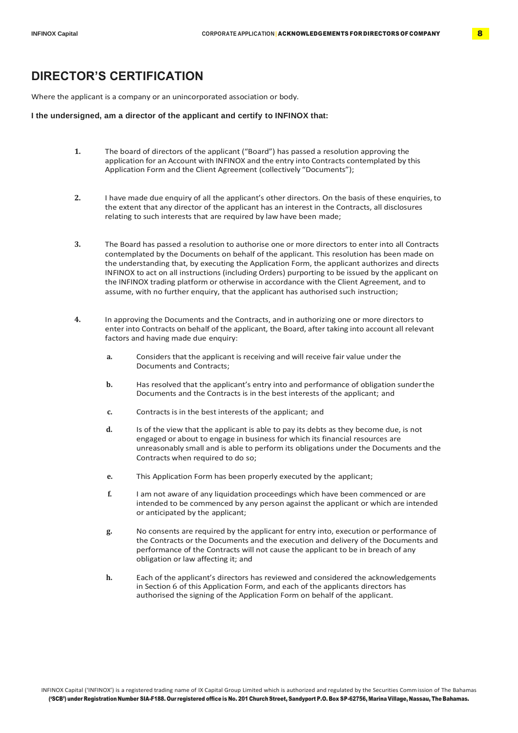## **DIRECTOR'S CERTIFICATION**

Where the applicant is a company or an unincorporated association or body.

#### **I the undersigned, am a director of the applicant and certify to INFINOX that:**

- **1.** The board of directors of the applicant ("Board") has passed a resolution approving the application for an Account with INFINOX and the entry into Contracts contemplated by this Application Form and the Client Agreement (collectively "Documents");
- **2.** I have made due enquiry of all the applicant's other directors. On the basis of these enquiries,to the extent that any director of the applicant has an interest in the Contracts, all disclosures relating to such interests that are required by law have been made;
- **3.** The Board has passed a resolution to authorise one or more directors to enter into all Contracts contemplated by the Documents on behalf of the applicant. This resolution has been made on the understanding that, by executing the Application Form, the applicant authorizes and directs INFINOX to act on all instructions (including Orders) purporting to be issued by the applicant on the INFINOX trading platform or otherwise in accordance with the Client Agreement, and to assume, with no further enquiry, that the applicant has authorised such instruction;
- **4.** In approving the Documents and the Contracts, and in authorizing one or more directors to enter into Contracts on behalf of the applicant, the Board, after taking into account all relevant factors and having made due enquiry:
	- **a.** Considers that the applicant is receiving and will receive fair value under the Documents and Contracts;
	- **b.** Has resolved that the applicant's entry into and performance of obligation sunderthe Documents and the Contracts is in the best interests of the applicant; and
	- **c.** Contracts is in the best interests of the applicant; and
	- **d.** Is of the view that the applicant is able to pay its debts as they become due, is not engaged or about to engage in business for which its financial resources are unreasonably small and is able to perform its obligations under the Documents and the Contracts when required to do so;
	- **e.** This Application Form has been properly executed by the applicant;
	- **f.** I am not aware of any liquidation proceedings which have been commenced or are intended to be commenced by any person against the applicant or which are intended or anticipated by the applicant;
	- **g.** No consents are required by the applicant for entry into, execution or performance of the Contracts or the Documents and the execution and delivery of the Documents and performance of the Contracts will not cause the applicant to be in breach of any obligation or law affecting it; and
	- **h.** Each of the applicant's directors has reviewed and considered the acknowledgements in Section 6 of this Application Form, and each of the applicants directors has authorised the signing of the Application Form on behalf of the applicant.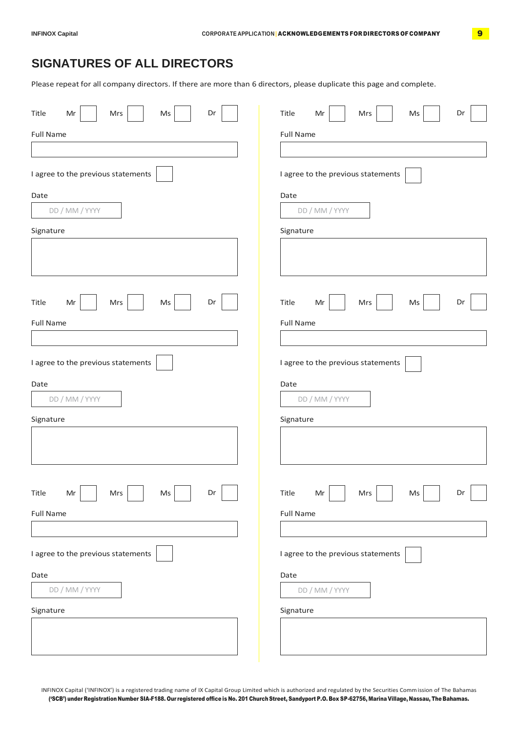# **SIGNATURES OF ALL DIRECTORS**

Please repeat for all company directors. If there are more than 6 directors, please duplicate this page and complete.

| Dr<br>Title<br>Mr<br>Mrs<br>Ms                                                       | Title<br>Dr<br>Mr<br>Mrs<br>Ms                                                         |
|--------------------------------------------------------------------------------------|----------------------------------------------------------------------------------------|
| <b>Full Name</b>                                                                     | <b>Full Name</b>                                                                       |
|                                                                                      |                                                                                        |
| I agree to the previous statements                                                   | I agree to the previous statements                                                     |
| Date                                                                                 | Date                                                                                   |
| DD / MM / YYYY                                                                       | DD / MM / YYYY                                                                         |
| Signature                                                                            | Signature                                                                              |
|                                                                                      |                                                                                        |
| Dr<br>Title<br>Ms<br>Mr<br>Mrs                                                       | Title<br>$\mathsf{Ms}$<br>Dr<br>Mr<br>Mrs                                              |
| <b>Full Name</b>                                                                     | <b>Full Name</b>                                                                       |
|                                                                                      |                                                                                        |
| I agree to the previous statements                                                   | I agree to the previous statements                                                     |
| Date                                                                                 | Date                                                                                   |
| DD / MM / YYYY                                                                       | DD / MM / YYYY                                                                         |
| Signature                                                                            | Signature                                                                              |
|                                                                                      |                                                                                        |
|                                                                                      |                                                                                        |
| $\sqrt{2}$<br>$\overline{ }$<br>Title<br>Dr<br>$\mathsf{Mr}$<br>Mrs<br>$\mathsf{Ms}$ | $\overline{a}$<br><b>The State</b><br>Title<br>$\sf{Mr}$<br>Dr<br>Mrs<br>$\mathsf{Ms}$ |
| <b>Full Name</b>                                                                     | <b>Full Name</b>                                                                       |
|                                                                                      |                                                                                        |
| I agree to the previous statements                                                   | I agree to the previous statements                                                     |
| Date                                                                                 | Date                                                                                   |
| DD / MM / YYYY                                                                       | DD / MM / YYYY                                                                         |
| Signature                                                                            | Signature                                                                              |
|                                                                                      |                                                                                        |

INFINOX Capital ('INFINOX') is a registered trading name of IX Capital Group Limited which is authorized and regulated by the Securities Commission of The Bahamas ('SCB') under Registration Number SIA-F188. Our registered office is No. 201 Church Street, Sandyport P.O. Box SP-62756, Marina Village, Nassau, The Bahamas.